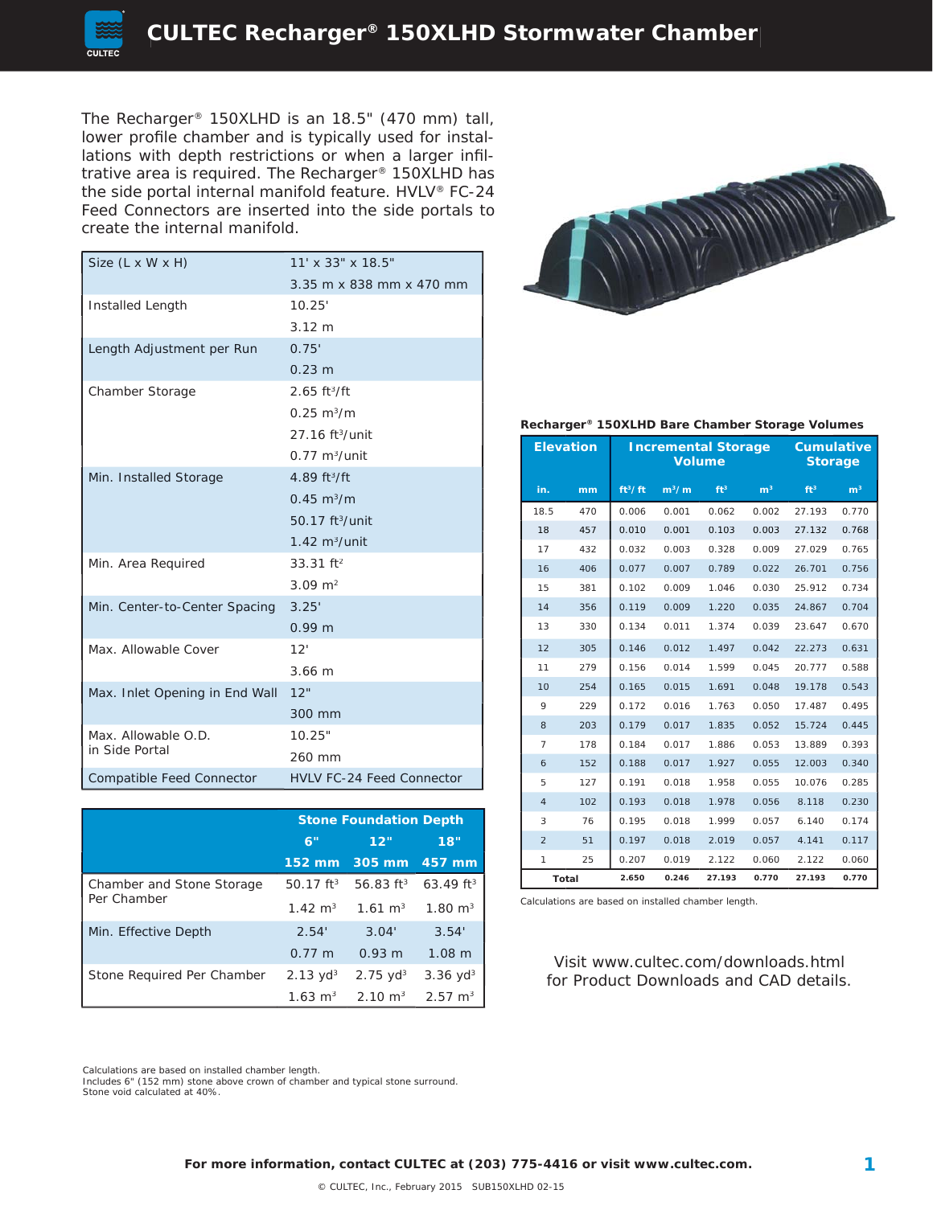

The Recharger® 150XLHD is an 18.5" (470 mm) tall, lower profile chamber and is typically used for installations with depth restrictions or when a larger infiltrative area is required. The Recharger® 150XLHD has the side portal internal manifold feature. HVLV® FC-24 Feed Connectors are inserted into the side portals to create the internal manifold.

| Size (L x W x H)                 | 11' x 33" x 18.5"                |  |  |  |
|----------------------------------|----------------------------------|--|--|--|
|                                  | $3.35$ m x 838 mm x 470 mm       |  |  |  |
| Installed Length                 | 10.25'                           |  |  |  |
|                                  | $3.12 \text{ m}$                 |  |  |  |
| Length Adjustment per Run        | 0.75'                            |  |  |  |
|                                  | $0.23 \; m$                      |  |  |  |
| Chamber Storage                  | $2.65$ ft <sup>3</sup> /ft       |  |  |  |
|                                  | $0.25 \text{ m}^3/\text{m}$      |  |  |  |
|                                  | $27.16$ ft <sup>3</sup> /unit    |  |  |  |
|                                  | $0.77 \text{ m}^3$ /unit         |  |  |  |
| Min. Installed Storage           | 4.89 $ft^3/ft$                   |  |  |  |
|                                  | $0.45 \text{ m}^3/\text{m}$      |  |  |  |
|                                  | 50.17 ft <sup>3</sup> /unit      |  |  |  |
|                                  | $1.42 \text{ m}^3/\text{unit}$   |  |  |  |
| Min. Area Required               | $33.31$ ft <sup>2</sup>          |  |  |  |
|                                  | $3.09 \text{ m}^2$               |  |  |  |
| Min. Center-to-Center Spacing    | 3.25'                            |  |  |  |
|                                  | 0.99 <sub>m</sub>                |  |  |  |
| Max. Allowable Cover             | 12'                              |  |  |  |
|                                  | 3.66 m                           |  |  |  |
| Max. Inlet Opening in End Wall   | 12"                              |  |  |  |
|                                  | 300 mm                           |  |  |  |
| Max. Allowable O.D.              | 10.25"                           |  |  |  |
| in Side Portal                   | 260 mm                           |  |  |  |
| <b>Compatible Feed Connector</b> | <b>HVLV FC-24 Feed Connector</b> |  |  |  |

|                            | <b>Stone Foundation Depth</b> |                     |                         |  |
|----------------------------|-------------------------------|---------------------|-------------------------|--|
|                            | 6"                            | 12"                 | 18"                     |  |
|                            | 152 mm                        | 305 mm              | 457 mm                  |  |
| Chamber and Stone Storage  | $50.17$ ft <sup>3</sup>       | 56.83 $ft^3$        | $63.49$ ft <sup>3</sup> |  |
| Per Chamber                | $1.42 \text{ m}^3$            | $1.61 \text{ m}^3$  | $1.80 \text{ m}^3$      |  |
| Min. Effective Depth       | 2.54'                         | 3.04'               | 3.54'                   |  |
|                            | $0.77 \; m$                   | 0.93 m              | 1.08 m                  |  |
| Stone Required Per Chamber | $2.13 \text{ yd}^3$           | $2.75 \text{ yd}^3$ | $3.36 \text{ yd}^3$     |  |
|                            | $1.63 \text{ m}^3$            | $2.10 \text{ m}^3$  | $2.57 \text{ m}^3$      |  |



#### **Recharger® 150XLHD Bare Chamber Storage Volumes**

|                | <b>Elevation</b> | <b>Incremental Storage</b><br><b>Volume</b> |         |                 |                | <b>Cumulative</b><br><b>Storage</b> |                |
|----------------|------------------|---------------------------------------------|---------|-----------------|----------------|-------------------------------------|----------------|
| in.            | mm               | ft <sup>3</sup> /ft                         | $m^3/m$ | ft <sup>3</sup> | m <sup>3</sup> | ft <sup>3</sup>                     | m <sup>3</sup> |
| 18.5           | 470              | 0.006                                       | 0.001   | 0.062           | 0.002          | 27.193                              | 0.770          |
| 18             | 457              | 0.010                                       | 0.001   | 0.103           | 0.003          | 27.132                              | 0.768          |
| 17             | 432              | 0.032                                       | 0.003   | 0.328           | 0.009          | 27.029                              | 0.765          |
| 16             | 406              | 0.077                                       | 0.007   | 0.789           | 0.022          | 26.701                              | 0.756          |
| 15             | 381              | 0.102                                       | 0.009   | 1.046           | 0.030          | 25.912                              | 0.734          |
| 14             | 356              | 0.119                                       | 0.009   | 1.220           | 0.035          | 24.867                              | 0.704          |
| 13             | 330              | 0.134                                       | 0.011   | 1.374           | 0.039          | 23.647                              | 0.670          |
| 12             | 305              | 0.146                                       | 0.012   | 1.497           | 0.042          | 22.273                              | 0.631          |
| 11             | 279              | 0.156                                       | 0.014   | 1.599           | 0.045          | 20.777                              | 0.588          |
| 10             | 254              | 0.165                                       | 0.015   | 1.691           | 0.048          | 19.178                              | 0.543          |
| 9              | 229              | 0.172                                       | 0.016   | 1.763           | 0.050          | 17.487                              | 0.495          |
| 8              | 203              | 0.179                                       | 0.017   | 1.835           | 0.052          | 15.724                              | 0.445          |
| 7              | 178              | 0.184                                       | 0.017   | 1.886           | 0.053          | 13.889                              | 0.393          |
| 6              | 152              | 0.188                                       | 0.017   | 1.927           | 0.055          | 12.003                              | 0.340          |
| 5              | 127              | 0.191                                       | 0.018   | 1.958           | 0.055          | 10.076                              | 0.285          |
| $\overline{4}$ | 102              | 0.193                                       | 0.018   | 1.978           | 0.056          | 8.118                               | 0.230          |
| 3              | 76               | 0.195                                       | 0.018   | 1.999           | 0.057          | 6.140                               | 0.174          |
| $\overline{2}$ | 51               | 0.197                                       | 0.018   | 2.019           | 0.057          | 4.141                               | 0.117          |
| 1              | 25               | 0.207                                       | 0.019   | 2.122           | 0.060          | 2.122                               | 0.060          |
| Total          |                  | 2.650                                       | 0.246   | 27.193          | 0.770          | 27.193                              | 0.770          |

Calculations are based on installed chamber length.

Visit www.cultec.com/downloads.html for Product Downloads and CAD details.

Calculations are based on installed chamber length.

Includes 6" (152 mm) stone above crown of chamber and typical stone surround. Stone void calculated at 40%.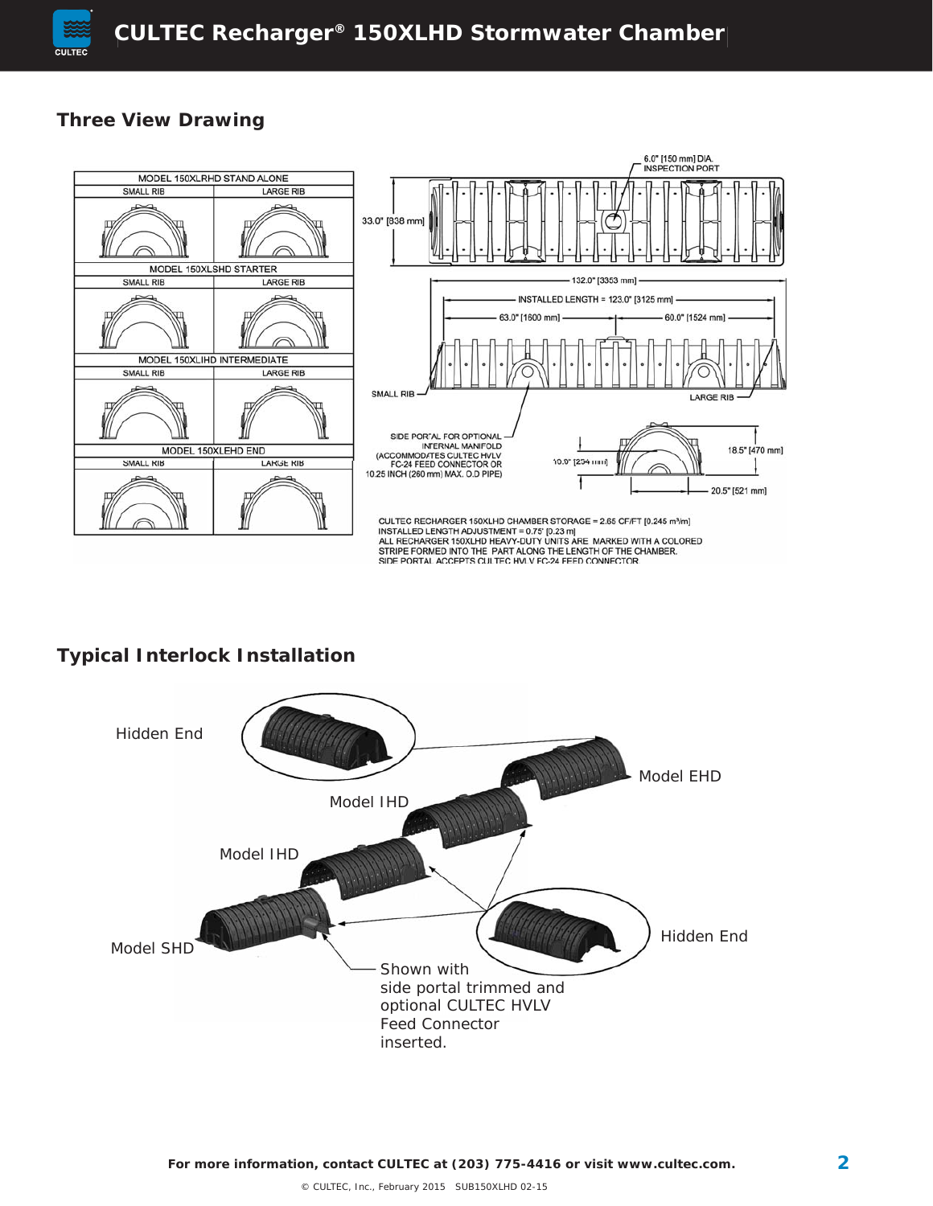

## **Three View Drawing**



# **Typical Interlock Installation**

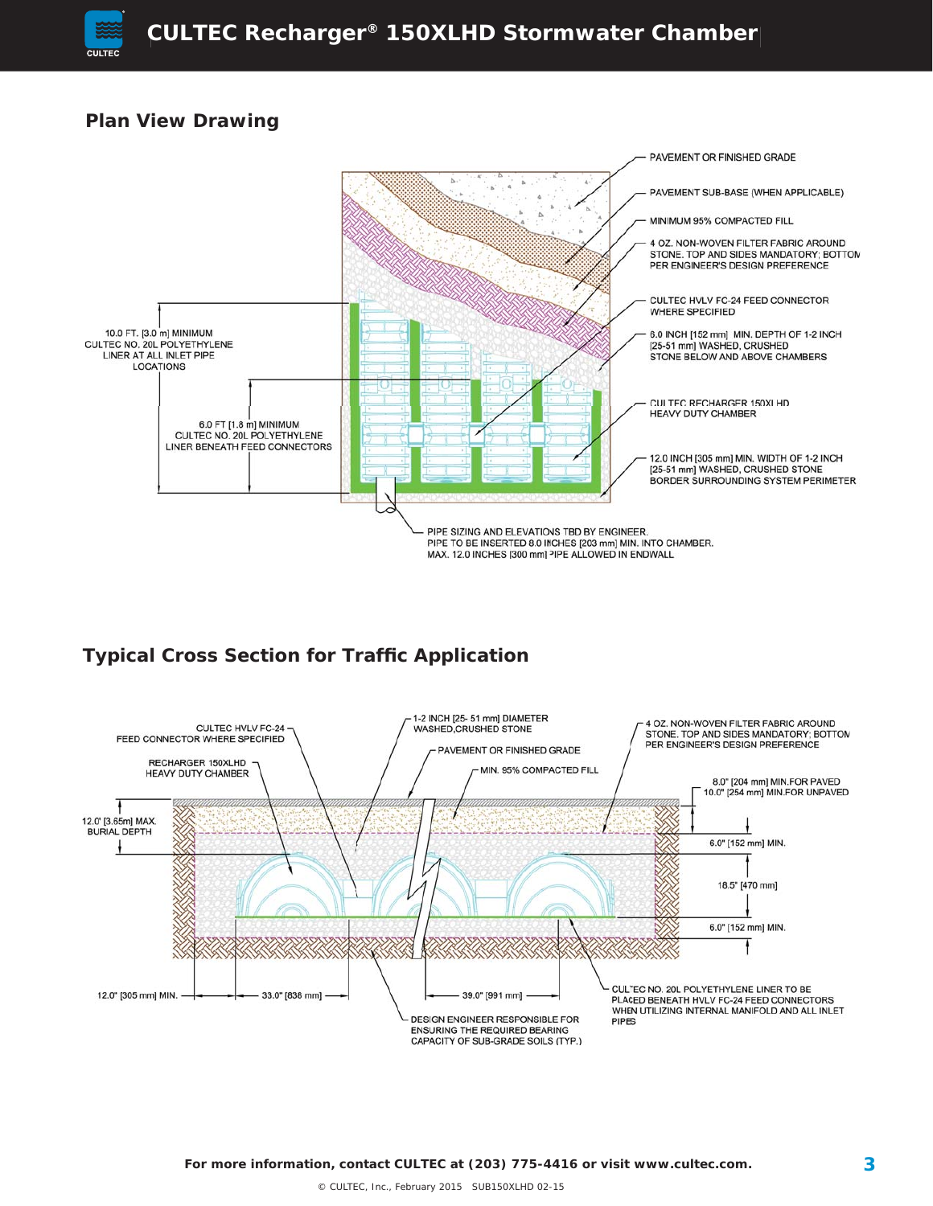

### **Plan View Drawing**



## **Typical Cross Section for Traffic Application**